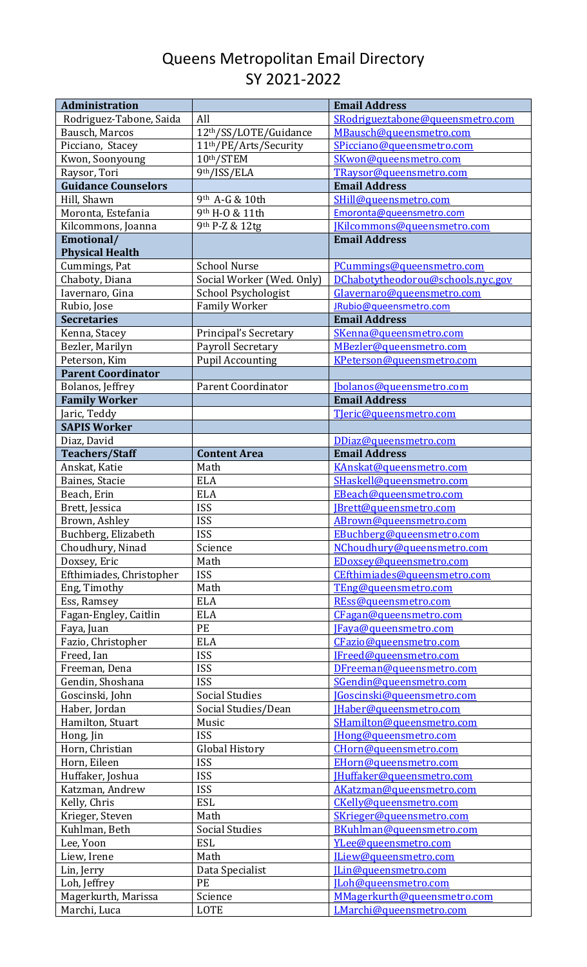## Queens Metropolitan Email Directory SY 2021-2022

| Administration             |                                    | <b>Email Address</b>              |
|----------------------------|------------------------------------|-----------------------------------|
| Rodriguez-Tabone, Saida    | All                                | SRodrigueztabone@queensmetro.com  |
| Bausch, Marcos             | 12th/SS/LOTE/Guidance              | MBausch@queensmetro.com           |
| Picciano, Stacey           | 11 <sup>th</sup> /PE/Arts/Security | SPicciano@queensmetro.com         |
| Kwon, Soonyoung            | 10th/STEM                          | SKwon@queensmetro.com             |
| Raysor, Tori               | 9th/ISS/ELA                        | TRaysor@queensmetro.com           |
| <b>Guidance Counselors</b> |                                    | <b>Email Address</b>              |
| Hill, Shawn                | 9th A-G & 10th                     | SHill@queensmetro.com             |
| Moronta, Estefania         | 9th H-O & 11th                     | Emoronta@queensmetro.com          |
| Kilcommons, Joanna         | 9th P-Z & 12tg                     | [Kilcommons@queensmetro.com       |
| Emotional/                 |                                    | <b>Email Address</b>              |
| <b>Physical Health</b>     |                                    |                                   |
| Cummings, Pat              | <b>School Nurse</b>                | PCummings@queensmetro.com         |
| Chaboty, Diana             | Social Worker (Wed. Only)          | DChabotytheodorou@schools.nyc.gov |
| Iavernaro, Gina            | School Psychologist                | Glavernaro@queensmetro.com        |
| Rubio, Jose                | <b>Family Worker</b>               | JRubio@queensmetro.com            |
| <b>Secretaries</b>         |                                    | <b>Email Address</b>              |
| Kenna, Stacey              | Principal's Secretary              | SKenna@queensmetro.com            |
| Bezler, Marilyn            | Payroll Secretary                  | MBezler@queensmetro.com           |
| Peterson, Kim              | <b>Pupil Accounting</b>            | KPeterson@queensmetro.com         |
| <b>Parent Coordinator</b>  |                                    |                                   |
| Bolanos, Jeffrey           | <b>Parent Coordinator</b>          | [bolanos@queensmetro.com          |
| <b>Family Worker</b>       |                                    | <b>Email Address</b>              |
| Jaric, Teddy               |                                    | Tleric@queensmetro.com            |
| <b>SAPIS Worker</b>        |                                    |                                   |
| Diaz, David                |                                    | DDiaz@queensmetro.com             |
| <b>Teachers/Staff</b>      | <b>Content Area</b>                | <b>Email Address</b>              |
| Anskat, Katie              | Math                               | KAnskat@queensmetro.com           |
| Baines, Stacie             | <b>ELA</b>                         | SHaskell@queensmetro.com          |
| Beach, Erin                | <b>ELA</b>                         | EBeach@queensmetro.com            |
| Brett, Jessica             | <b>ISS</b>                         | [Brett@queensmetro.com            |
| Brown, Ashley              | <b>ISS</b>                         | ABrown@queensmetro.com            |
| Buchberg, Elizabeth        | <b>ISS</b>                         | EBuchberg@queensmetro.com         |
| Choudhury, Ninad           | Science                            | NChoudhury@queensmetro.com        |
|                            | Math                               | EDoxsey@queensmetro.com           |
| Doxsey, Eric               | <b>ISS</b>                         | CEfthimiades@queensmetro.com      |
| Efthimiades, Christopher   | Math                               |                                   |
| Eng, Timothy               | <b>ELA</b>                         | TEng@queensmetro.com              |
| Ess, Ramsey                |                                    | REss@queensmetro.com              |
| Fagan-Engley, Caitlin      | <b>ELA</b>                         | CFagan@queensmetro.com            |
| Faya, Juan                 | PE                                 | [Faya@queensmetro.com             |
| Fazio, Christopher         | <b>ELA</b>                         | CFazio@queensmetro.com            |
| Freed, Ian                 | <b>ISS</b>                         | IFreed@queensmetro.com            |
| Freeman, Dena              | <b>ISS</b>                         | DFreeman@queensmetro.com          |
| Gendin, Shoshana           | <b>ISS</b>                         | SGendin@queensmetro.com           |
| Goscinski, John            | <b>Social Studies</b>              | <b>IGoscinski@queensmetro.com</b> |
| Haber, Jordan              | Social Studies/Dean                | [Haber@queensmetro.com            |
| Hamilton, Stuart           | Music                              | SHamilton@queensmetro.com         |
| Hong, Jin                  | <b>ISS</b>                         | [Hong@queensmetro.com             |
| Horn, Christian            | <b>Global History</b>              | CHorn@queensmetro.com             |
| Horn, Eileen               | <b>ISS</b>                         | EHorn@queensmetro.com             |
| Huffaker, Joshua           | <b>ISS</b>                         | [Huffaker@queensmetro.com         |
| Katzman, Andrew            | <b>ISS</b>                         | AKatzman@queensmetro.com          |
| Kelly, Chris               | <b>ESL</b>                         | CKelly@queensmetro.com            |
| Krieger, Steven            | Math                               | SKrieger@queensmetro.com          |
| Kuhlman, Beth              | <b>Social Studies</b>              | BKuhlman@queensmetro.com          |
| Lee, Yoon                  | <b>ESL</b>                         | YLee@queensmetro.com              |
| Liew, Irene                | Math                               | ILiew@queensmetro.com             |
| Lin, Jerry                 | Data Specialist                    | [Lin@queensmetro.com              |
| Loh, Jeffrey               | PE                                 | [Loh@queensmetro.com              |
| Magerkurth, Marissa        | Science                            | MMagerkurth@queensmetro.com       |
| Marchi, Luca               | LOTE                               | LMarchi@queensmetro.com           |